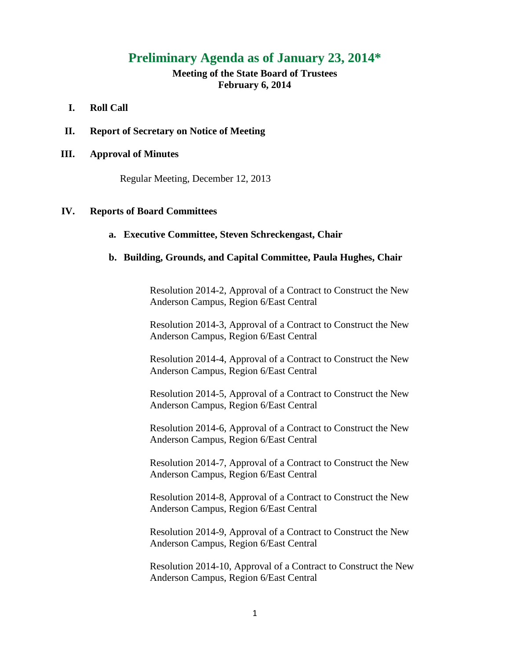# **Preliminary Agenda as of January 23, 2014\***

**Meeting of the State Board of Trustees February 6, 2014**

## **I. Roll Call**

**II. Report of Secretary on Notice of Meeting**

## **III. Approval of Minutes**

Regular Meeting, December 12, 2013

## **IV. Reports of Board Committees**

## **a. Executive Committee, Steven Schreckengast, Chair**

#### **b. Building, Grounds, and Capital Committee, Paula Hughes, Chair**

Resolution 2014-2, Approval of a Contract to Construct the New Anderson Campus, Region 6/East Central

Resolution 2014-3, Approval of a Contract to Construct the New Anderson Campus, Region 6/East Central

Resolution 2014-4, Approval of a Contract to Construct the New Anderson Campus, Region 6/East Central

Resolution 2014-5, Approval of a Contract to Construct the New Anderson Campus, Region 6/East Central

Resolution 2014-6, Approval of a Contract to Construct the New Anderson Campus, Region 6/East Central

Resolution 2014-7, Approval of a Contract to Construct the New Anderson Campus, Region 6/East Central

Resolution 2014-8, Approval of a Contract to Construct the New Anderson Campus, Region 6/East Central

Resolution 2014-9, Approval of a Contract to Construct the New Anderson Campus, Region 6/East Central

Resolution 2014-10, Approval of a Contract to Construct the New Anderson Campus, Region 6/East Central